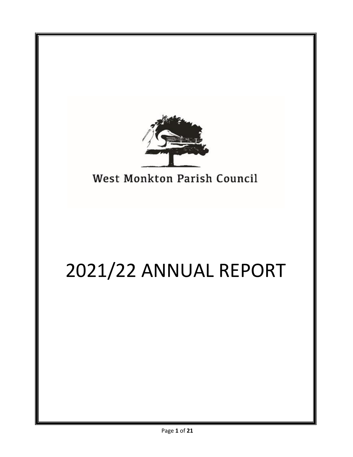

West Monkton Parish Council

# 2021/22 ANNUAL REPORT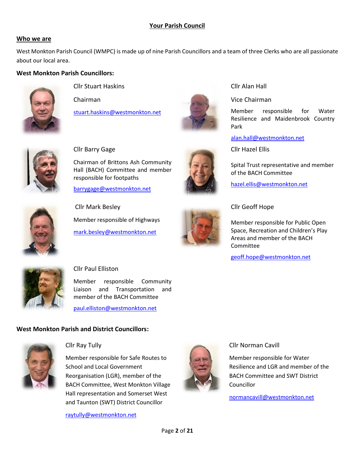# **Your Parish Council**

#### **Who we are**

West Monkton Parish Council (WMPC) is made up of nine Parish Councillors and a team of three Clerks who are all passionate about our local area.

#### **West Monkton Parish Councillors:**



Cllr Stuart Haskins

Chairman

Cllr Barry Gage

[stuart.haskins@westmonkton.net](mailto:stuart.haskins@westmonkton.net)



Cllr Alan Hall

#### Vice Chairman

Member responsible for Water Resilience and Maidenbrook Country Park

[alan.hall@westmonkton.net](mailto:alan.hall@westmonkton.net)

Cllr Hazel Ellis

Spital Trust representative and member of the BACH Committee

[hazel.ellis@westmonkton.net](mailto:hazel.ellis@westmonkton.net)



Chairman of Brittons Ash Community Hall (BACH) Committee and member responsible for footpaths [barrygage@westmonkton.net](mailto:barrygage@westmonkton.net)

Member responsible of Highways

[mark.besley@westmonkton.net](mailto:mark.besley@westmonkton.net)



Cllr Geoff Hope

Member responsible for Public Open Space, Recreation and Children's Play Areas and member of the BACH **Committee** 

[geoff.hope@westmonkton.net](mailto:geoff.hope@westmonkton.net)



## Cllr Paul Elliston

Cllr Mark Besley

Member responsible Community Liaison and Transportation and member of the BACH Committee

[paul.elliston@westmonkton.net](mailto:paul.elliston@westmonkton.net)

# **West Monkton Parish and District Councillors:**



## Cllr Ray Tully

Member responsible for Safe Routes to School and Local Government Reorganisation (LGR), member of the BACH Committee, West Monkton Village Hall representation and Somerset West and Taunton (SWT) District Councillor

[raytully@westmonkton.net](mailto:raytully@westmonkton.net) 



#### Cllr Norman Cavill

Member responsible for Water Resilience and LGR and member of the BACH Committee and SWT District Councillor

[normancavill@westmonkton.net](mailto:normancavill@westmonkton.net)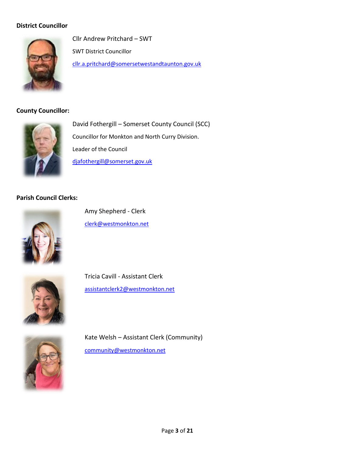# **District Councillor**



Cllr Andrew Pritchard – SWT SWT District Councillor [cllr.a.pritchard@somersetwestandtaunton.gov.uk](mailto:cllr.a.pritchard@somersetwestandtaunton.gov.uk)

## **County Councillor:**



David Fothergill – Somerset County Council (SCC) Councillor for Monkton and North Curry Division. Leader of the Council [djafothergill@somerset.gov.uk](mailto:djafothergill@somerset.gov.uk)

# **Parish Council Clerks:**



Amy Shepherd - Clerk [clerk@westmonkton.net](mailto:clerk@westmonkton.net)



Tricia Cavill - Assistant Clerk [assistantclerk2@westmonkton.net](mailto:assistantclerk2@westmonkton.net)



Kate Welsh – Assistant Clerk (Community) [community@westmonkton.net](mailto:community@westmonkton.net)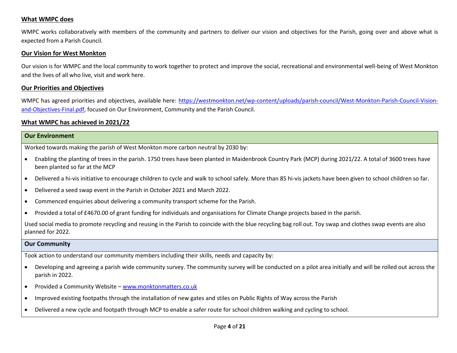#### **What WMPC does**

WMPC works collaboratively with members of the community and partners to deliver our vision and objectives for the Parish, going over and above what is expected from a Parish Council.

#### **Our Vision for West Monkton**

Our vision is for WMPC and the local community to work together to protect and improve the social, recreational and environmental well-being of West Monkton and the lives of all who live, visit and work here.

#### **Our Priorities and Objectives**

WMPC has agreed priorities and objectives, available here: [https://westmonkton.net/wp-content/uploads/parish-council/West-Monkton-Parish-Council-Vision](https://westmonkton.net/wp-content/uploads/parish-council/West-Monkton-Parish-Council-Vision-and-Objectives-Final.pdf)[and-Objectives-Final.pdf,](https://westmonkton.net/wp-content/uploads/parish-council/West-Monkton-Parish-Council-Vision-and-Objectives-Final.pdf) focused on Our Environment, Community and the Parish Council.

#### **What WMPC has achieved in 2021/22**

| Our Environment                                                                  |
|----------------------------------------------------------------------------------|
| Worked towards making the parish of West Monkton more carbon neutral by 2030 by: |

- Enabling the planting of trees in the parish. 1750 trees have been planted in Maidenbrook Country Park (MCP) during 2021/22. A total of 3600 trees have been planted so far at the MCP
- Delivered a hi-vis initiative to encourage children to cycle and walk to school safely. More than 85 hi-vis jackets have been given to school children so far.
- Delivered a seed swap event in the Parish in October 2021 and March 2022.
- Commenced enquiries about delivering a community transport scheme for the Parish.
- Provided a total of £4670.00 of grant funding for individuals and organisations for Climate Change projects based in the parish.

Used social media to promote recycling and reusing in the Parish to coincide with the blue recycling bag roll out. Toy swap and clothes swap events are also planned for 2022.

#### **Our Community**

Took action to understand our community members including their skills, needs and capacity by:

- Developing and agreeing a parish wide community survey. The community survey will be conducted on a pilot area initially and will be rolled out across the parish in 2022.
- Provided a Community Website [www.monktonmatters.co.uk](http://www.monktonmatters.co.uk/)
- Improved existing footpaths through the installation of new gates and stiles on Public Rights of Way across the Parish
- Delivered a new cycle and footpath through MCP to enable a safer route for school children walking and cycling to school.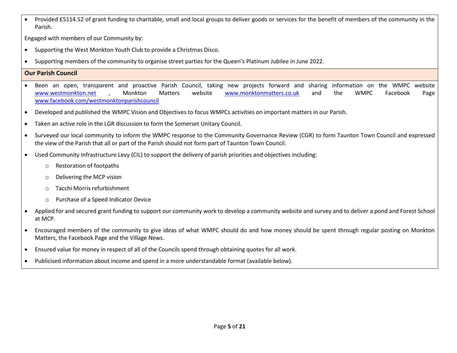• Provided £5114.52 of grant funding to charitable, small and local groups to deliver goods or services for the benefit of members of the community in the Parish.

Engaged with members of our Community by:

- Supporting the West Monkton Youth Club to provide a Christmas Disco.
- Supporting members of the community to organise street parties for the Queen's Platinum Jubilee in June 2022.

# **Our Parish Council**

- Been an open, transparent and proactive Parish Council, taking new projects forward and sharing information on the WMPC website [www.westmonkton.net](http://www.westmonkton.net/) , Monkton Matters website [www.monktonmatters.co.uk](http://www.monktonmatters.co.uk/) and the WMPC Facebook Page [www.facebook.com/westmonktonparishcouncil](http://www.facebook.com/westmonktonparishcouncil)
- Developed and published the WMPC Vision and Objectives to focus WMPCs activities on important matters in our Parish.
- Taken an active role in the LGR discussion to form the Somerset Unitary Council.
- Surveyed our local community to inform the WMPC response to the Community Governance Review (CGR) to form Taunton Town Council and expressed the view of the Parish that all or part of the Parish should not form part of Taunton Town Council.
- Used Community Infrastructure Levy (CIL) to support the delivery of parish priorities and objectives including:
	- o Restoration of footpaths
	- o Delivering the MCP vision
	- o Tacchi Morris refurbishment
	- o Purchase of a Speed Indicator Device
- Applied for and secured grant funding to support our community work to develop a community website and survey and to deliver a pond and Forest School at MCP.
- Encouraged members of the community to give ideas of what WMPC should do and how money should be spent through regular posting on Monkton Matters, the Facebook Page and the Village News.
- Ensured value for money in respect of all of the Councils spend through obtaining quotes for all work.
- Publicised information about income and spend in a more understandable format (available below).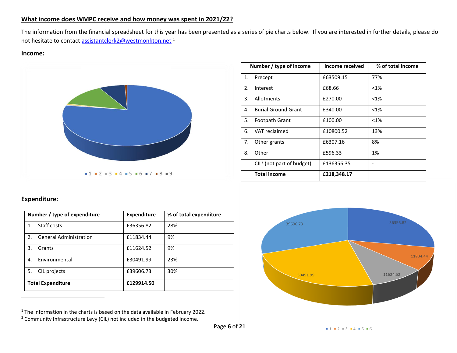## **What income does WMPC receive and how money was spent in 2021/22?**

The information from the financial spreadsheet for this year has been presented as a series of pie charts below. If you are interested in further details, please do not hesitate to contact [assistantclerk2@westmonkton.net](mailto:assistantclerk2@westmonkton.net)<sup>1</sup>

#### **Income:**



|    | Number / type of income     | Income received | % of total income |  |  |  |  |  |  |  |
|----|-----------------------------|-----------------|-------------------|--|--|--|--|--|--|--|
| 1. | Precept                     | £63509.15       | 77%               |  |  |  |  |  |  |  |
| 2. | Interest                    | £68.66          | $< 1\%$           |  |  |  |  |  |  |  |
| 3. | Allotments                  | £270.00         | $< 1\%$           |  |  |  |  |  |  |  |
| 4. | <b>Burial Ground Grant</b>  | £340.00         | $< 1\%$           |  |  |  |  |  |  |  |
| 5. | Footpath Grant              | £100.00         | $< 1\%$           |  |  |  |  |  |  |  |
| 6. | VAT reclaimed               | £10800.52       | 13%               |  |  |  |  |  |  |  |
| 7. | Other grants                | £6307.16        | 8%                |  |  |  |  |  |  |  |
| 8. | Other                       | £596.33         | 1%                |  |  |  |  |  |  |  |
|    | $CIL2$ (not part of budget) | £136356.35      |                   |  |  |  |  |  |  |  |
|    | <b>Total income</b>         | £218,348.17     |                   |  |  |  |  |  |  |  |

# **Expenditure:**

| Number / type of expenditure                    | <b>Expenditure</b> | % of total expenditure |  |  |  |  |  |  |
|-------------------------------------------------|--------------------|------------------------|--|--|--|--|--|--|
| Staff costs<br>$\mathbf{1}$ .                   | £36356.82          | 28%                    |  |  |  |  |  |  |
| 2 <sub>1</sub><br><b>General Administration</b> | £11834.44          | 9%                     |  |  |  |  |  |  |
| 3.<br>Grants                                    | £11624.52          | 9%                     |  |  |  |  |  |  |
| 4.<br><b>Environmental</b>                      | £30491.99          | 23%                    |  |  |  |  |  |  |
| 5.<br>CIL projects                              | £39606.73          | 30%                    |  |  |  |  |  |  |
| <b>Total Expenditure</b>                        | £129914.50         |                        |  |  |  |  |  |  |

 $1$ <sup>1</sup> The information in the charts is based on the data available in February 2022.

<sup>2</sup> Community Infrastructure Levy (CIL) not included in the budgeted income.

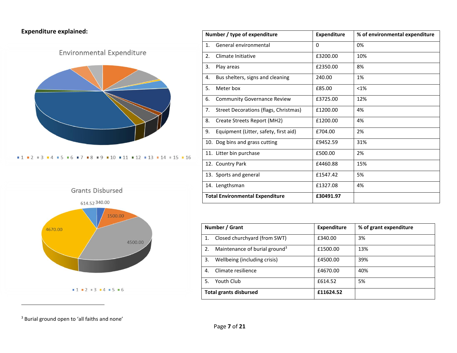**Expenditure explained:**





|    | Number / type of expenditure           | <b>Expenditure</b> | % of environmental expenditure |  |  |  |  |  |  |  |  |
|----|----------------------------------------|--------------------|--------------------------------|--|--|--|--|--|--|--|--|
| 1. | General environmental                  | $\Omega$           | 0%                             |  |  |  |  |  |  |  |  |
| 2. | Climate Initiative                     | £3200.00           | 10%                            |  |  |  |  |  |  |  |  |
| 3. | Play areas                             | £2350.00           | 8%                             |  |  |  |  |  |  |  |  |
| 4. | Bus shelters, signs and cleaning       | 240.00             | 1%                             |  |  |  |  |  |  |  |  |
| 5. | Meter box                              | £85.00             | $< 1\%$                        |  |  |  |  |  |  |  |  |
| 6. | <b>Community Governance Review</b>     | £3725.00           | 12%                            |  |  |  |  |  |  |  |  |
| 7. | Street Decorations (flags, Christmas)  | £1200.00           | 4%                             |  |  |  |  |  |  |  |  |
| 8. | Create Streets Report (MH2)            | £1200.00           | 4%                             |  |  |  |  |  |  |  |  |
| 9. | Equipment (Litter, safety, first aid)  | £704.00            | 2%                             |  |  |  |  |  |  |  |  |
|    | 10. Dog bins and grass cutting         | £9452.59           | 31%                            |  |  |  |  |  |  |  |  |
|    | 11. Litter bin purchase                | £500.00            | 2%                             |  |  |  |  |  |  |  |  |
|    | 12. Country Park                       | £4460.88           | 15%                            |  |  |  |  |  |  |  |  |
|    | 13. Sports and general                 | £1547.42           | 5%                             |  |  |  |  |  |  |  |  |
|    | 14. Lengthsman                         | £1327.08           | 4%                             |  |  |  |  |  |  |  |  |
|    | <b>Total Environmental Expenditure</b> | £30491.97          |                                |  |  |  |  |  |  |  |  |

|    | Number / Grant                            | <b>Expenditure</b> | % of grant expenditure |  |  |  |  |  |  |
|----|-------------------------------------------|--------------------|------------------------|--|--|--|--|--|--|
|    | Closed churchyard (from SWT)              | £340.00            | 3%                     |  |  |  |  |  |  |
| 2. | Maintenance of burial ground <sup>3</sup> | £1500.00           | 13%                    |  |  |  |  |  |  |
| 3. | Wellbeing (including crisis)              | £4500.00           | 39%                    |  |  |  |  |  |  |
| 4. | Climate resilience                        | £4670.00           | 40%                    |  |  |  |  |  |  |
| 5. | Youth Club                                | £614.52            | 5%                     |  |  |  |  |  |  |
|    | <b>Total grants disbursed</b>             | £11624.52          |                        |  |  |  |  |  |  |

<sup>3</sup> Burial ground open to 'all faiths and none'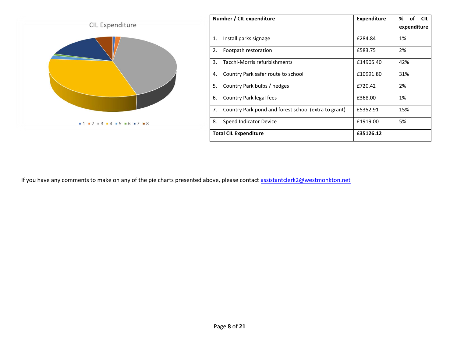

If you have any comments to make on any of the pie charts presented above, please contact [assistantclerk2@westmonkton.net](mailto:assistantclerk2@westmonkton.net)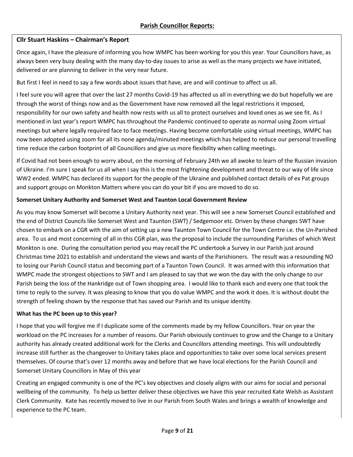# **Cllr Stuart Haskins – Chairman's Report**

Once again, I have the pleasure of informing you how WMPC has been working for you this year. Your Councillors have, as always been very busy dealing with the many day-to-day issues to arise as well as the many projects we have initiated, delivered or are planning to deliver in the very near future.

But first I feel in need to say a few words about issues that have, are and will continue to affect us all.

I feel sure you will agree that over the last 27 months Covid-19 has affected us all in everything we do but hopefully we are through the worst of things now and as the Government have now removed all the legal restrictions it imposed, responsibility for our own safety and health now rests with us all to protect ourselves and loved ones as we see fit. As I mentioned in last year's report WMPC has throughout the Pandemic continued to operate as normal using Zoom virtual meetings but where legally required face to face meetings. Having become comfortable using virtual meetings, WMPC has now been adopted using zoom for all its none agenda/minuted meetings which has helped to reduce our personal travelling time reduce the carbon footprint of all Councillors and give us more flexibility when calling meetings.

If Covid had not been enough to worry about, on the morning of February 24th we all awoke to learn of the Russian invasion of Ukraine. I'm sure I speak for us all when I say this is the most frightening development and threat to our way of life since WW2 ended. WMPC has declared its support for the people of the Ukraine and published contact details of ex Pat groups and support groups on Monkton Matters where you can do your bit if you are moved to do so.

## **Somerset Unitary Authority and Somerset West and Taunton Local Government Review**

As you may know Somerset will become a Unitary Authority next year. This will see a new Somerset Council established and the end of District Councils like Somerset West and Taunton (SWT) / Sedgemoor etc. Driven by these changes SWT have chosen to embark on a CGR with the aim of setting up a new Taunton Town Council for the Town Centre i.e. the Un-Parished area. To us and most concerning of all in this CGR plan, was the proposal to include the surrounding Parishes of which West Monkton is one. During the consultation period you may recall the PC undertook a Survey in our Parish just around Christmas time 2021 to establish and understand the views and wants of the Parishioners. The result was a resounding NO to losing our Parish Council status and becoming part of a Taunton Town Council. It was armed with this information that WMPC made the strongest objections to SWT and I am pleased to say that we won the day with the only change to our Parish being the loss of the Hankridge out of Town shopping area. I would like to thank each and every one that took the time to reply to the survey. It was pleasing to know that you do value WMPC and the work it does. It is without doubt the strength of feeling shown by the response that has saved our Parish and its unique identity.

## **What has the PC been up to this year?**

I hope that you will forgive me if I duplicate some of the comments made by my fellow Councillors. Year on year the workload on the PC increases for a number of reasons. Our Parish obviously continues to grow and the Change to a Unitary authority has already created additional work for the Clerks and Councillors attending meetings. This will undoubtedly increase still further as the changeover to Unitary takes place and opportunities to take over some local services present themselves. Of course that's over 12 months away and before that we have local elections for the Parish Council and Somerset Unitary Councillors in May of this year

Creating an engaged community is one of the PC's key objectives and closely aligns with our aims for social and personal wellbeing of the community. To help us better deliver these objectives we have this year recruited Kate Welsh as Assistant Clerk Community. Kate has recently moved to live in our Parish from South Wales and brings a wealth of knowledge and experience to the PC team.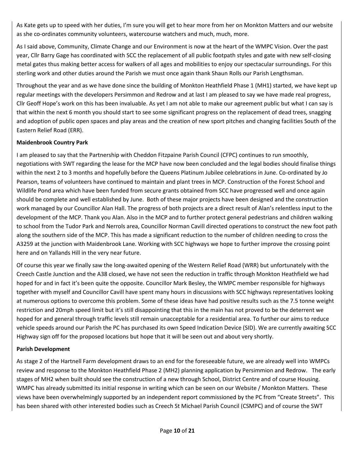As Kate gets up to speed with her duties, I'm sure you will get to hear more from her on Monkton Matters and our website as she co-ordinates community volunteers, watercourse watchers and much, much, more.

As I said above, Community, Climate Change and our Environment is now at the heart of the WMPC Vision. Over the past year, Cllr Barry Gage has coordinated with SCC the replacement of all public footpath styles and gate with new self-closing metal gates thus making better access for walkers of all ages and mobilities to enjoy our spectacular surroundings. For this sterling work and other duties around the Parish we must once again thank Shaun Rolls our Parish Lengthsman.

Throughout the year and as we have done since the building of Monkton Heathfield Phase 1 (MH1) started, we have kept up regular meetings with the developers Persimmon and Redrow and at last I am pleased to say we have made real progress, Cllr Geoff Hope's work on this has been invaluable. As yet I am not able to make our agreement public but what I can say is that within the next 6 month you should start to see some significant progress on the replacement of dead trees, snagging and adoption of public open spaces and play areas and the creation of new sport pitches and changing facilities South of the Eastern Relief Road (ERR).

## **Maidenbrook Country Park**

I am pleased to say that the Partnership with Cheddon Fitzpaine Parish Council (CFPC) continues to run smoothly, negotiations with SWT regarding the lease for the MCP have now been concluded and the legal bodies should finalise things within the next 2 to 3 months and hopefully before the Queens Platinum Jubilee celebrations in June. Co-ordinated by Jo Pearson, teams of volunteers have continued to maintain and plant trees in MCP. Construction of the Forest School and Wildlife Pond area which have been funded from secure grants obtained from SCC have progressed well and once again should be complete and well established by June. Both of these major projects have been designed and the construction work managed by our Councillor Alan Hall. The progress of both projects are a direct result of Alan's relentless input to the development of the MCP. Thank you Alan. Also in the MCP and to further protect general pedestrians and children walking to school from the Tudor Park and Nerrols area, Councillor Norman Cavill directed operations to construct the new foot path along the southern side of the MCP. This has made a significant reduction to the number of children needing to cross the A3259 at the junction with Maidenbrook Lane. Working with SCC highways we hope to further improve the crossing point here and on Yallands Hill in the very near future.

Of course this year we finally saw the long-awaited opening of the Western Relief Road (WRR) but unfortunately with the Creech Castle Junction and the A38 closed, we have not seen the reduction in traffic through Monkton Heathfield we had hoped for and in fact it's been quite the opposite. Councillor Mark Besley, the WMPC member responsible for highways together with myself and Councillor Cavill have spent many hours in discussions with SCC highways representatives looking at numerous options to overcome this problem. Some of these ideas have had positive results such as the 7.5 tonne weight restriction and 20mph speed limit but it's still disappointing that this in the main has not proved to be the deterrent we hoped for and general through traffic levels still remain unacceptable for a residential area. To further our aims to reduce vehicle speeds around our Parish the PC has purchased its own Speed Indication Device (SID). We are currently awaiting SCC Highway sign off for the proposed locations but hope that it will be seen out and about very shortly.

## **Parish Development**

As stage 2 of the Hartnell Farm development draws to an end for the foreseeable future, we are already well into WMPCs review and response to the Monkton Heathfield Phase 2 (MH2) planning application by Persimmion and Redrow. The early stages of MH2 when built should see the construction of a new through School, District Centre and of course Housing. WMPC has already submitted its initial response in writing which can be seen on our Website / Monkton Matters. These views have been overwhelmingly supported by an independent report commissioned by the PC from "Create Streets". This has been shared with other interested bodies such as Creech St Michael Parish Council (CSMPC) and of course the SWT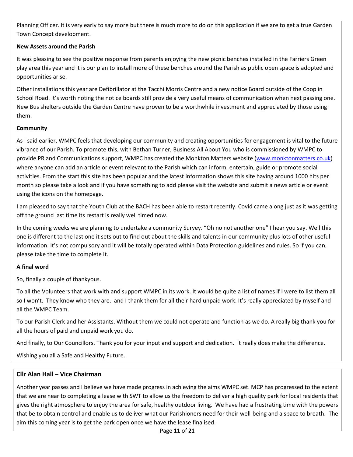Planning Officer. It is very early to say more but there is much more to do on this application if we are to get a true Garden Town Concept development.

# **New Assets around the Parish**

It was pleasing to see the positive response from parents enjoying the new picnic benches installed in the Farriers Green play area this year and it is our plan to install more of these benches around the Parish as public open space is adopted and opportunities arise.

Other installations this year are Defibrillator at the Tacchi Morris Centre and a new notice Board outside of the Coop in School Road. It's worth noting the notice boards still provide a very useful means of communication when next passing one. New Bus shelters outside the Garden Centre have proven to be a worthwhile investment and appreciated by those using them.

# **Community**

As I said earlier, WMPC feels that developing our community and creating opportunities for engagement is vital to the future vibrance of our Parish. To promote this, with Bethan Turner, Business All About You who is commissioned by WMPC to provide PR and Communications support, WMPC has created the Monkton Matters website [\(www.monktonmatters.co.uk\)](http://www.monktonmatters.co.uk/) where anyone can add an article or event relevant to the Parish which can inform, entertain, guide or promote social activities. From the start this site has been popular and the latest information shows this site having around 1000 hits per month so please take a look and if you have something to add please visit the website and submit a news article or event using the icons on the homepage.

I am pleased to say that the Youth Club at the BACH has been able to restart recently. Covid came along just as it was getting off the ground last time its restart is really well timed now.

In the coming weeks we are planning to undertake a community Survey. "Oh no not another one" I hear you say. Well this one is different to the last one it sets out to find out about the skills and talents in our community plus lots of other useful information. It's not compulsory and it will be totally operated within Data Protection guidelines and rules. So if you can, please take the time to complete it.

# **A final word**

So, finally a couple of thankyous.

To all the Volunteers that work with and support WMPC in its work. It would be quite a list of names if I were to list them all so I won't. They know who they are. and I thank them for all their hard unpaid work. It's really appreciated by myself and all the WMPC Team.

To our Parish Clerk and her Assistants. Without them we could not operate and function as we do. A really big thank you for all the hours of paid and unpaid work you do.

And finally, to Our Councillors. Thank you for your input and support and dedication. It really does make the difference.

Wishing you all a Safe and Healthy Future.

# **Cllr Alan Hall – Vice Chairman**

Another year passes and I believe we have made progress in achieving the aims WMPC set. MCP has progressed to the extent that we are near to completing a lease with SWT to allow us the freedom to deliver a high quality park for local residents that gives the right atmosphere to enjoy the area for safe, healthy outdoor living. We have had a frustrating time with the powers that be to obtain control and enable us to deliver what our Parishioners need for their well-being and a space to breath. The aim this coming year is to get the park open once we have the lease finalised.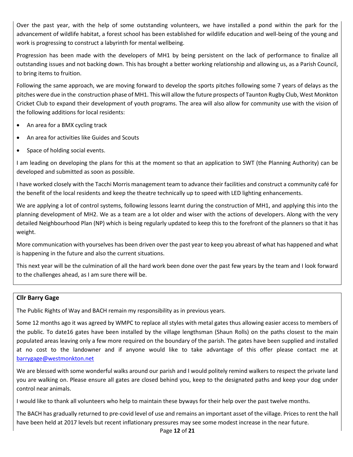Over the past year, with the help of some outstanding volunteers, we have installed a pond within the park for the advancement of wildlife habitat, a forest school has been established for wildlife education and well-being of the young and work is progressing to construct a labyrinth for mental wellbeing.

Progression has been made with the developers of MH1 by being persistent on the lack of performance to finalize all outstanding issues and not backing down. This has brought a better working relationship and allowing us, as a Parish Council, to bring items to fruition.

Following the same approach, we are moving forward to develop the sports pitches following some 7 years of delays as the pitches were due in the construction phase of MH1. This will allow the future prospects of Taunton Rugby Club, West Monkton Cricket Club to expand their development of youth programs. The area will also allow for community use with the vision of the following additions for local residents:

- An area for a BMX cycling track
- An area for activities like Guides and Scouts
- Space of holding social events.

I am leading on developing the plans for this at the moment so that an application to SWT (the Planning Authority) can be developed and submitted as soon as possible.

I have worked closely with the Tacchi Morris management team to advance their facilities and construct a community café for the benefit of the local residents and keep the theatre technically up to speed with LED lighting enhancements.

We are applying a lot of control systems, following lessons learnt during the construction of MH1, and applying this into the planning development of MH2. We as a team are a lot older and wiser with the actions of developers. Along with the very detailed Neighbourhood Plan (NP) which is being regularly updated to keep this to the forefront of the planners so that it has weight.

More communication with yourselves has been driven over the past year to keep you abreast of what has happened and what is happening in the future and also the current situations.

This next year will be the culmination of all the hard work been done over the past few years by the team and I look forward to the challenges ahead, as I am sure there will be.

#### **Cllr Barry Gage**

The Public Rights of Way and BACH remain my responsibility as in previous years.

Some 12 months ago it was agreed by WMPC to replace all styles with metal gates thus allowing easier access to members of the public. To date16 gates have been installed by the village lengthsman (Shaun Rolls) on the paths closest to the main populated areas leaving only a few more required on the boundary of the parish. The gates have been supplied and installed at no cost to the landowner and if anyone would like to take advantage of this offer please contact me at [barrygage@westmonkton.net](mailto:barrygage@westmonkton.net)

We are blessed with some wonderful walks around our parish and I would politely remind walkers to respect the private land you are walking on. Please ensure all gates are closed behind you, keep to the designated paths and keep your dog under control near animals.

I would like to thank all volunteers who help to maintain these byways for their help over the past twelve months.

The BACH has gradually returned to pre-covid level of use and remains an important asset of the village. Prices to rent the hall have been held at 2017 levels but recent inflationary pressures may see some modest increase in the near future.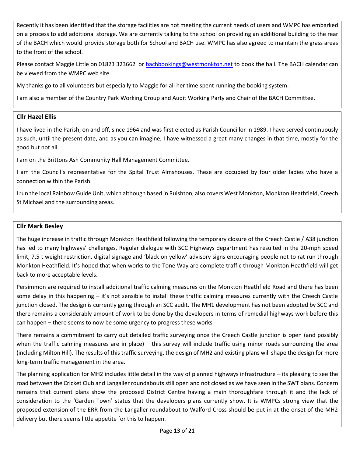Recently it has been identified that the storage facilities are not meeting the current needs of users and WMPC has embarked on a process to add additional storage. We are currently talking to the school on providing an additional building to the rear of the BACH which would provide storage both for School and BACH use. WMPC has also agreed to maintain the grass areas to the front of the school.

Please contact Maggie Little on 01823 323662 o[r bachbookings@westmonkton.net](mailto:bachbookings@westmonkton.net) to book the hall. The BACH calendar can be viewed from the WMPC web site.

My thanks go to all volunteers but especially to Maggie for all her time spent running the booking system.

I am also a member of the Country Park Working Group and Audit Working Party and Chair of the BACH Committee.

#### **Cllr Hazel Ellis**

I have lived in the Parish, on and off, since 1964 and was first elected as Parish Councillor in 1989. I have served continuously as such, until the present date, and as you can imagine, I have witnessed a great many changes in that time, mostly for the good but not all.

I am on the Brittons Ash Community Hall Management Committee.

I am the Council's representative for the Spital Trust Almshouses. These are occupied by four older ladies who have a connection within the Parish.

I run the local Rainbow Guide Unit, which although based in Ruishton, also covers West Monkton, Monkton Heathfield, Creech St Michael and the surrounding areas.

#### **Cllr Mark Besley**

The huge increase in traffic through Monkton Heathfield following the temporary closure of the Creech Castle / A38 junction has led to many highways' challenges. Regular dialogue with SCC Highways department has resulted in the 20-mph speed limit, 7.5 t weight restriction, digital signage and 'black on yellow' advisory signs encouraging people not to rat run through Monkton Heathfield. It's hoped that when works to the Tone Way are complete traffic through Monkton Heathfield will get back to more acceptable levels.

Persimmon are required to install additional traffic calming measures on the Monkton Heathfield Road and there has been some delay in this happening – it's not sensible to install these traffic calming measures currently with the Creech Castle junction closed. The design is currently going through an SCC audit. The MH1 development has not been adopted by SCC and there remains a considerably amount of work to be done by the developers in terms of remedial highways work before this can happen – there seems to now be some urgency to progress these works.

There remains a commitment to carry out detailed traffic surveying once the Creech Castle junction is open (and possibly when the traffic calming measures are in place) – this survey will include traffic using minor roads surrounding the area (including Milton Hill). The results of this traffic surveying, the design of MH2 and existing plans will shape the design for more long-term traffic management in the area.

The planning application for MH2 includes little detail in the way of planned highways infrastructure – its pleasing to see the road between the Cricket Club and Langaller roundabouts still open and not closed as we have seen in the SWT plans. Concern remains that current plans show the proposed District Centre having a main thoroughfare through it and the lack of consideration to the 'Garden Town' status that the developers plans currently show. It is WMPCs strong view that the proposed extension of the ERR from the Langaller roundabout to Walford Cross should be put in at the onset of the MH2 delivery but there seems little appetite for this to happen.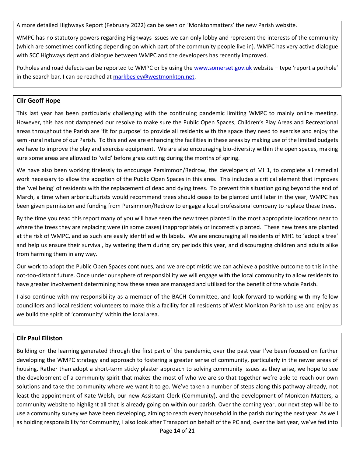A more detailed Highways Report (February 2022) can be seen on 'Monktonmatters' the new Parish website.

WMPC has no statutory powers regarding Highways issues we can only lobby and represent the interests of the community (which are sometimes conflicting depending on which part of the community people live in). WMPC has very active dialogue with SCC Highways dept and dialogue between WMPC and the developers has recently improved.

Potholes and road defects can be reported to WMPC or by using th[e www.somerset.gov.uk](http://www.somerset.gov.uk/) website – type 'report a pothole' in the search bar. I can be reached at  $markbesley@westmonth.net.$ 

#### **Cllr Geoff Hope**

This last year has been particularly challenging with the continuing pandemic limiting WMPC to mainly online meeting. However, this has not dampened our resolve to make sure the Public Open Spaces, Children's Play Areas and Recreational areas throughout the Parish are 'fit for purpose' to provide all residents with the space they need to exercise and enjoy the semi-rural nature of our Parish. To this end we are enhancing the facilities in these areas by making use of the limited budgets we have to improve the play and exercise equipment. We are also encouraging bio-diversity within the open spaces, making sure some areas are allowed to 'wild' before grass cutting during the months of spring.

We have also been working tirelessly to encourage Persimmon/Redrow, the developers of MH1, to complete all remedial work necessary to allow the adoption of the Public Open Spaces in this area. This includes a critical element that improves the 'wellbeing' of residents with the replacement of dead and dying trees. To prevent this situation going beyond the end of March, a time when arboriculturists would recommend trees should cease to be planted until later in the year, WMPC has been given permission and funding from Persimmon/Redrow to engage a local professional company to replace these trees.

By the time you read this report many of you will have seen the new trees planted in the most appropriate locations near to where the trees they are replacing were (in some cases) inappropriately or incorrectly planted. These new trees are planted at the risk of WMPC, and as such are easily identified with labels. We are encouraging all residents of MH1 to 'adopt a tree' and help us ensure their survival, by watering them during dry periods this year, and discouraging children and adults alike from harming them in any way.

Our work to adopt the Public Open Spaces continues, and we are optimistic we can achieve a positive outcome to this in the not-too-distant future. Once under our sphere of responsibility we will engage with the local community to allow residents to have greater involvement determining how these areas are managed and utilised for the benefit of the whole Parish.

I also continue with my responsibility as a member of the BACH Committee, and look forward to working with my fellow councillors and local resident volunteers to make this a facility for all residents of West Monkton Parish to use and enjoy as we build the spirit of 'community' within the local area.

## **Cllr Paul Elliston**

Building on the learning generated through the first part of the pandemic, over the past year I've been focused on further developing the WMPC strategy and approach to fostering a greater sense of community, particularly in the newer areas of housing. Rather than adopt a short-term sticky plaster approach to solving community issues as they arise, we hope to see the development of a community spirit that makes the most of who we are so that together we're able to reach our own solutions and take the community where we want it to go. We've taken a number of steps along this pathway already, not least the appointment of Kate Welsh, our new Assistant Clerk (Community), and the development of Monkton Matters, a community website to highlight all that is already going on within our parish. Over the coming year, our next step will be to use a community survey we have been developing, aiming to reach every household in the parish during the next year. As well as holding responsibility for Community, I also look after Transport on behalf of the PC and, over the last year, we've fed into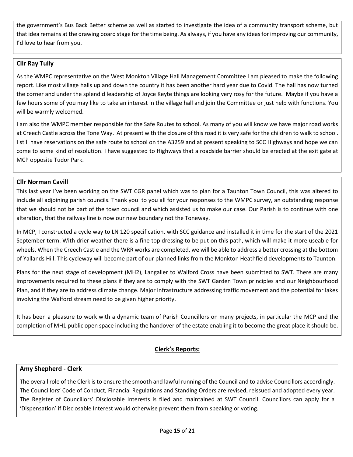the government's Bus Back Better scheme as well as started to investigate the idea of a community transport scheme, but that idea remains at the drawing board stage for the time being. As always, if you have any ideas for improving our community, I'd love to hear from you.

# **Cllr Ray Tully**

As the WMPC representative on the West Monkton Village Hall Management Committee I am pleased to make the following report. Like most village halls up and down the country it has been another hard year due to Covid. The hall has now turned the corner and under the splendid leadership of Joyce Keyte things are looking very rosy for the future. Maybe if you have a few hours some of you may like to take an interest in the village hall and join the Committee or just help with functions. You will be warmly welcomed.

I am also the WMPC member responsible for the Safe Routes to school. As many of you will know we have major road works at Creech Castle across the Tone Way. At present with the closure of this road it is very safe for the children to walk to school. I still have reservations on the safe route to school on the A3259 and at present speaking to SCC Highways and hope we can come to some kind of resolution. I have suggested to Highways that a roadside barrier should be erected at the exit gate at MCP opposite Tudor Park.

# **Cllr Norman Cavill**

This last year I've been working on the SWT CGR panel which was to plan for a Taunton Town Council, this was altered to include all adjoining parish councils. Thank you to you all for your responses to the WMPC survey, an outstanding response that we should not be part of the town council and which assisted us to make our case. Our Parish is to continue with one alteration, that the railway line is now our new boundary not the Toneway.

In MCP, I constructed a cycle way to LN 120 specification, with SCC guidance and installed it in time for the start of the 2021 September term. With drier weather there is a fine top dressing to be put on this path, which will make it more useable for wheels. When the Creech Castle and the WRR works are completed, we will be able to address a better crossing at the bottom of Yallands Hill. This cycleway will become part of our planned links from the Monkton Heathfield developments to Taunton.

Plans for the next stage of development (MH2), Langaller to Walford Cross have been submitted to SWT. There are many improvements required to these plans if they are to comply with the SWT Garden Town principles and our Neighbourhood Plan, and if they are to address climate change. Major infrastructure addressing traffic movement and the potential for lakes involving the Walford stream need to be given higher priority.

It has been a pleasure to work with a dynamic team of Parish Councillors on many projects, in particular the MCP and the completion of MH1 public open space including the handover of the estate enabling it to become the great place it should be.

# **Clerk's Reports:**

## **Amy Shepherd - Clerk**

The overall role of the Clerk is to ensure the smooth and lawful running of the Council and to advise Councillors accordingly. The Councillors' Code of Conduct, Financial Regulations and Standing Orders are revised, reissued and adopted every year. The Register of Councillors' Disclosable Interests is filed and maintained at SWT Council. Councillors can apply for a 'Dispensation' if Disclosable Interest would otherwise prevent them from speaking or voting.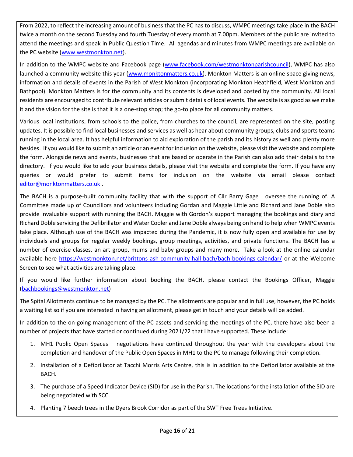From 2022, to reflect the increasing amount of business that the PC has to discuss, WMPC meetings take place in the BACH twice a month on the second Tuesday and fourth Tuesday of every month at 7.00pm. Members of the public are invited to attend the meetings and speak in Public Question Time. All agendas and minutes from WMPC meetings are available on the PC website [\(www.westmonkton.net\)](http://www.westmonkton.net/).

In addition to the WMPC website and Facebook page [\(www.facebook.com/westmonktonparishcouncil\)](http://www.facebook.com/westmonktonparishcouncil), WMPC has also launched a community website this year [\(www.monktonmatters.co.uk\)](http://www.monktonmatters.co.uk/). Monkton Matters is an online space giving news, information and details of events in the Parish of West Monkton (incorporating Monkton Heathfield, West Monkton and Bathpool). Monkton Matters is for the community and its contents is developed and posted by the community. All local residents are encouraged to contribute relevant articles or submit details of local events. The website is as good as we make it and the vision for the site is that it is a one-stop shop; the go-to place for all community matters.

Various local institutions, from schools to the police, from churches to the council, are represented on the site, posting updates. It is possible to find local businesses and services as well as hear about community groups, clubs and sports teams running in the local area. It has helpful information to aid exploration of the parish and its history as well and plenty more besides. If you would like to submit an article or an event for inclusion on the website, please visit the website and complete the form. Alongside news and events, businesses that are based or operate in the Parish can also add their details to the directory. If you would like to add your business details, please visit the website and complete the form. If you have any queries or would prefer to submit items for inclusion on the website via email please contact [editor@monktonmatters.co.uk](mailto:editor@monktonmatters.co.uk) .

The BACH is a purpose-built community facility that with the support of Cllr Barry Gage I oversee the running of. A Committee made up of Councillors and volunteers including Gordan and Maggie Little and Richard and Jane Doble also provide invaluable support with running the BACH. Maggie with Gordon's support managing the bookings and diary and Richard Doble servicing the Defibrillator and Water Cooler and Jane Doble always being on hand to help when WMPC events take place. Although use of the BACH was impacted during the Pandemic, it is now fully open and available for use by individuals and groups for regular weekly bookings, group meetings, activities, and private functions. The BACH has a number of exercise classes, an art group, mums and baby groups and many more. Take a look at the online calendar available here<https://westmonkton.net/brittons-ash-community-hall-bach/bach-bookings-calendar/> or at the Welcome Screen to see what activities are taking place.

If you would like further information about booking the BACH, please contact the Bookings Officer, Maggie [\(bachbookings@westmonkton.net\)](mailto:bachbookings@westmonkton.net)

The Spital Allotments continue to be managed by the PC. The allotments are popular and in full use, however, the PC holds a waiting list so if you are interested in having an allotment, please get in touch and your details will be added.

In addition to the on-going management of the PC assets and servicing the meetings of the PC, there have also been a number of projects that have started or continued during 2021/22 that I have supported. These include:

- 1. MH1 Public Open Spaces negotiations have continued throughout the year with the developers about the completion and handover of the Public Open Spaces in MH1 to the PC to manage following their completion.
- 2. Installation of a Defibrillator at Tacchi Morris Arts Centre, this is in addition to the Defibrillator available at the BACH.
- 3. The purchase of a Speed Indicator Device (SID) for use in the Parish. The locations for the installation of the SID are being negotiated with SCC.
- 4. Planting 7 beech trees in the Dyers Brook Corridor as part of the SWT Free Trees Initiative.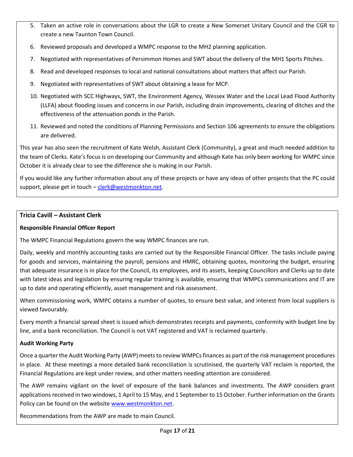- 5. Taken an active role in conversations about the LGR to create a New Somerset Unitary Council and the CGR to create a new Taunton Town Council.
- 6. Reviewed proposals and developed a WMPC response to the MH2 planning application.
- 7. Negotiated with representatives of Persimmon Homes and SWT about the delivery of the MH1 Sports Pitches.
- 8. Read and developed responses to local and national consultations about matters that affect our Parish.
- 9. Negotiated with representatives of SWT about obtaining a lease for MCP.
- 10. Negotiated with SCC Highways, SWT, the Environment Agency, Wessex Water and the Local Lead Flood Authority (LLFA) about flooding issues and concerns in our Parish, including drain improvements, clearing of ditches and the effectiveness of the attenuation ponds in the Parish.
- 11. Reviewed and noted the conditions of Planning Permissions and Section 106 agreements to ensure the obligations are delivered.

This year has also seen the recruitment of Kate Welsh, Assistant Clerk (Community), a great and much needed addition to the team of Clerks. Kate's focus is on developing our Community and although Kate has only been working for WMPC since October it is already clear to see the difference she is making in our Parish.

If you would like any further information about any of these projects or have any ideas of other projects that the PC could support, please get in touch - [clerk@westmonkton.net.](mailto:clerk@westmonkton.net)

## **Tricia Cavill – Assistant Clerk**

#### **Responsible Financial Officer Report**

The WMPC Financial Regulations govern the way WMPC finances are run.

Daily, weekly and monthly accounting tasks are carried out by the Responsible Financial Officer. The tasks include paying for goods and services, maintaining the payroll, pensions and HMRC, obtaining quotes, monitoring the budget, ensuring that adequate insurance is in place for the Council, its employees, and its assets, keeping Councillors and Clerks up to date with latest ideas and legislation by ensuring regular training is available, ensuring that WMPCs communications and IT are up to date and operating efficiently, asset management and risk assessment.

When commissioning work, WMPC obtains a number of quotes, to ensure best value, and interest from local suppliers is viewed favourably.

Every month a financial spread sheet is issued which demonstrates receipts and payments, conformity with budget line by line, and a bank reconciliation. The Council is not VAT registered and VAT is reclaimed quarterly.

#### **Audit Working Party**

Once a quarter the Audit Working Party (AWP) meets to review WMPCsfinances as part of the risk management procedures in place. At these meetings a more detailed bank reconciliation is scrutinised, the quarterly VAT reclaim is reported, the Financial Regulations are kept under review, and other matters needing attention are considered.

The AWP remains vigilant on the level of exposure of the bank balances and investments. The AWP considers grant applications received in two windows, 1 April to 15 May, and 1 September to 15 October. Further information on the Grants Policy can be found on the website [www.westmonkton.net.](http://www.westmonkton.net/)

Recommendations from the AWP are made to main Council.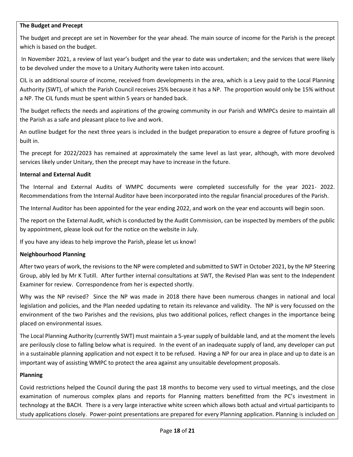#### **The Budget and Precept**

The budget and precept are set in November for the year ahead. The main source of income for the Parish is the precept which is based on the budget.

In November 2021, a review of last year's budget and the year to date was undertaken; and the services that were likely to be devolved under the move to a Unitary Authority were taken into account.

CIL is an additional source of income, received from developments in the area, which is a Levy paid to the Local Planning Authority (SWT), of which the Parish Council receives 25% because it has a NP. The proportion would only be 15% without a NP. The CIL funds must be spent within 5 years or handed back.

The budget reflects the needs and aspirations of the growing community in our Parish and WMPCs desire to maintain all the Parish as a safe and pleasant place to live and work.

An outline budget for the next three years is included in the budget preparation to ensure a degree of future proofing is built in.

The precept for 2022/2023 has remained at approximately the same level as last year, although, with more devolved services likely under Unitary, then the precept may have to increase in the future.

#### **Internal and External Audit**

The Internal and External Audits of WMPC documents were completed successfully for the year 2021- 2022. Recommendations from the Internal Auditor have been incorporated into the regular financial procedures of the Parish.

The Internal Auditor has been appointed for the year ending 2022, and work on the year end accounts will begin soon.

The report on the External Audit, which is conducted by the Audit Commission, can be inspected by members of the public by appointment, please look out for the notice on the website in July.

If you have any ideas to help improve the Parish, please let us know!

#### **Neighbourhood Planning**

After two years of work, the revisions to the NP were completed and submitted to SWT in October 2021, by the NP Steering Group, ably led by Mr K Tutill. After further internal consultations at SWT, the Revised Plan was sent to the Independent Examiner for review. Correspondence from her is expected shortly.

Why was the NP revised? Since the NP was made in 2018 there have been numerous changes in national and local legislation and policies, and the Plan needed updating to retain its relevance and validity. The NP is very focussed on the environment of the two Parishes and the revisions, plus two additional polices, reflect changes in the importance being placed on environmental issues.

The Local Planning Authority (currently SWT) must maintain a 5-year supply of buildable land, and at the moment the levels are perilously close to falling below what is required. In the event of an inadequate supply of land, any developer can put in a sustainable planning application and not expect it to be refused. Having a NP for our area in place and up to date is an important way of assisting WMPC to protect the area against any unsuitable development proposals.

#### **Planning**

Covid restrictions helped the Council during the past 18 months to become very used to virtual meetings, and the close examination of numerous complex plans and reports for Planning matters benefitted from the PC's investment in technology at the BACH. There is a very large interactive white screen which allows both actual and virtual participants to study applications closely. Power-point presentations are prepared for every Planning application. Planning is included on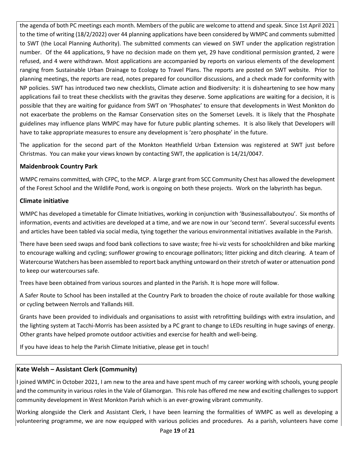the agenda of both PC meetings each month. Members of the public are welcome to attend and speak. Since 1st April 2021 to the time of writing (18/2/2022) over 44 planning applications have been considered by WMPC and comments submitted to SWT (the Local Planning Authority). The submitted comments can viewed on SWT under the application registration number. Of the 44 applications, 9 have no decision made on them yet, 29 have conditional permission granted, 2 were refused, and 4 were withdrawn. Most applications are accompanied by reports on various elements of the development ranging from Sustainable Urban Drainage to Ecology to Travel Plans. The reports are posted on SWT website. Prior to planning meetings, the reports are read, notes prepared for councillor discussions, and a check made for conformity with NP policies. SWT has introduced two new checklists, Climate action and Biodiversity: it is disheartening to see how many applications fail to treat these checklists with the gravitas they deserve. Some applications are waiting for a decision, it is possible that they are waiting for guidance from SWT on 'Phosphates' to ensure that developments in West Monkton do not exacerbate the problems on the Ramsar Conservation sites on the Somerset Levels. It is likely that the Phosphate guidelines may influence plans WMPC may have for future public planting schemes. It is also likely that Developers will have to take appropriate measures to ensure any development is 'zero phosphate' in the future.

The application for the second part of the Monkton Heathfield Urban Extension was registered at SWT just before Christmas. You can make your views known by contacting SWT, the application is 14/21/0047.

# **Maidenbrook Country Park**

WMPC remains committed, with CFPC, to the MCP. A large grant from SCC Community Chest has allowed the development of the Forest School and the Wildlife Pond, work is ongoing on both these projects. Work on the labyrinth has begun.

# **Climate initiative**

WMPC has developed a timetable for Climate Initiatives, working in conjunction with 'Businessallaboutyou'. Six months of information, events and activities are developed at a time, and we are now in our 'second term'. Several successful events and articles have been tabled via social media, tying together the various environmental initiatives available in the Parish.

There have been seed swaps and food bank collections to save waste; free hi-viz vests for schoolchildren and bike marking to encourage walking and cycling; sunflower growing to encourage pollinators; litter picking and ditch clearing. A team of Watercourse Watchers has been assembled to report back anything untoward on their stretch of water or attenuation pond to keep our watercourses safe.

Trees have been obtained from various sources and planted in the Parish. It is hope more will follow.

A Safer Route to School has been installed at the Country Park to broaden the choice of route available for those walking or cycling between Nerrols and Yallands Hill.

Grants have been provided to individuals and organisations to assist with retrofitting buildings with extra insulation, and the lighting system at Tacchi-Morris has been assisted by a PC grant to change to LEDs resulting in huge savings of energy. Other grants have helped promote outdoor activities and exercise for health and well-being.

If you have ideas to help the Parish Climate Initiative, please get in touch!

# **Kate Welsh – Assistant Clerk (Community)**

I joined WMPC in October 2021, I am new to the area and have spent much of my career working with schools, young people and the community in various roles in the Vale of Glamorgan. This role has offered me new and exciting challenges to support community development in West Monkton Parish which is an ever-growing vibrant community.

Working alongside the Clerk and Assistant Clerk, I have been learning the formalities of WMPC as well as developing a volunteering programme, we are now equipped with various policies and procedures. As a parish, volunteers have come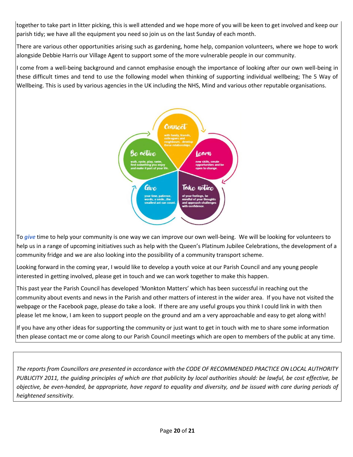together to take part in litter picking, this is well attended and we hope more of you will be keen to get involved and keep our parish tidy; we have all the equipment you need so join us on the last Sunday of each month.

There are various other opportunities arising such as gardening, home help, companion volunteers, where we hope to work alongside Debbie Harris our Village Agent to support some of the more vulnerable people in our community.

I come from a well-being background and cannot emphasise enough the importance of looking after our own well-being in these difficult times and tend to use the following model when thinking of supporting individual wellbeing; The 5 Way of Wellbeing. This is used by various agencies in the UK including the NHS, Mind and various other reputable organisations.



To *give* time to help your community is one way we can improve our own well-being. We will be looking for volunteers to help us in a range of upcoming initiatives such as help with the Queen's Platinum Jubilee Celebrations, the development of a community fridge and we are also looking into the possibility of a community transport scheme.

Looking forward in the coming year, I would like to develop a youth voice at our Parish Council and any young people interested in getting involved, please get in touch and we can work together to make this happen.

This past year the Parish Council has developed 'Monkton Matters' which has been successful in reaching out the community about events and news in the Parish and other matters of interest in the wider area. If you have not visited the webpage or the Facebook page, please do take a look. If there are any useful groups you think I could link in with then please let me know, I am keen to support people on the ground and am a very approachable and easy to get along with!

If you have any other ideas for supporting the community or just want to get in touch with me to share some information then please contact me or come along to our Parish Council meetings which are open to members of the public at any time.

*The reports from Councillors are presented in accordance with the CODE OF RECOMMENDED PRACTICE ON LOCAL AUTHORITY PUBLICITY 2011, the guiding principles of which are that publicity by local authorities should: be lawful, be cost effective, be objective, be even-handed, be appropriate, have regard to equality and diversity, and be issued with care during periods of heightened sensitivity.*